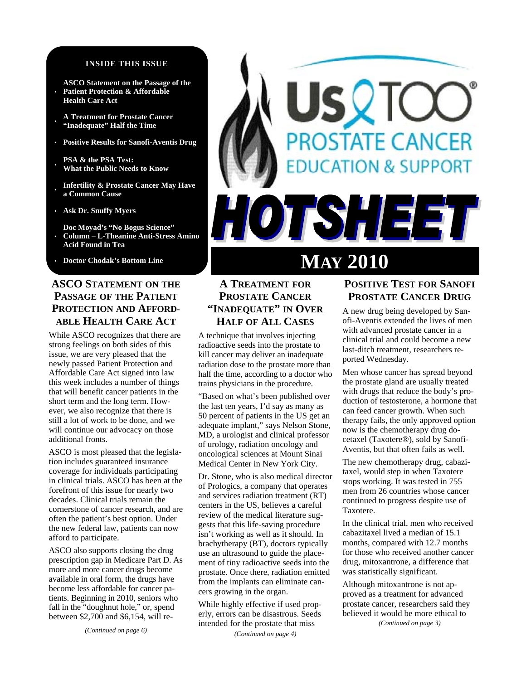#### **INSIDE THIS ISSUE**

- **ASCO Statement on the Passage of the Patient Protection & Affordable Health Care Act**
- **A Treatment for Prostate Cancer "Inadequate" Half the Time**
- **Positive Results for Sanofi-Aventis Drug**
- **PSA & the PSA Test: What the Public Needs to Know**
- **Infertility & Prostate Cancer May Have a Common Cause**
- **Ask Dr. Snuffy Myers**
- **Doc Moyad's "No Bogus Science" Column** – **L-Theanine Anti-Stress Amino Acid Found in Tea**
- 

# **ASCO STATEMENT ON THE PASSAGE OF THE PATIENT PROTECTION AND AFFORD-ABLE HEALTH CARE ACT**

While ASCO recognizes that there are strong feelings on both sides of this issue, we are very pleased that the newly passed Patient Protection and Affordable Care Act signed into law this week includes a number of things that will benefit cancer patients in the short term and the long term. However, we also recognize that there is still a lot of work to be done, and we will continue our advocacy on those additional fronts.

ASCO is most pleased that the legislation includes guaranteed insurance coverage for individuals participating in clinical trials. ASCO has been at the forefront of this issue for nearly two decades. Clinical trials remain the cornerstone of cancer research, and are often the patient's best option. Under the new federal law, patients can now afford to participate.

ASCO also supports closing the drug prescription gap in Medicare Part D. As more and more cancer drugs become available in oral form, the drugs have become less affordable for cancer patients. Beginning in 2010, seniors who fall in the "doughnut hole," or, spend between \$2,700 and \$6,154, will re-

# **Doctor Chodak's Bottom Line** MAY 2010

OTSHEE

# **A TREATMENT FOR PROSTATE CANCER "INADEQUATE" IN OVER HALF OF ALL CASES**

A technique that involves injecting radioactive seeds into the prostate to kill cancer may deliver an inadequate radiation dose to the prostate more than half the time, according to a doctor who trains physicians in the procedure.

"Based on what's been published over the last ten years, I'd say as many as 50 percent of patients in the US get an adequate implant," says Nelson Stone, MD, a urologist and clinical professor of urology, radiation oncology and oncological sciences at Mount Sinai Medical Center in New York City.

Dr. Stone, who is also medical director of Prologics, a company that operates and services radiation treatment (RT) centers in the US, believes a careful review of the medical literature suggests that this life-saving procedure isn't working as well as it should. In brachytherapy (BT), doctors typically use an ultrasound to guide the placement of tiny radioactive seeds into the prostate. Once there, radiation emitted from the implants can eliminate cancers growing in the organ.

While highly effective if used properly, errors can be disastrous. Seeds intended for the prostate that miss *(Continued on page 4)* 

# **POSITIVE TEST FOR SANOFI PROSTATE CANCER DRUG**

**DSTATE CANCER** 

**DUCATION & SUPPORT** 

A new drug being developed by Sanofi-Aventis extended the lives of men with advanced prostate cancer in a clinical trial and could become a new last-ditch treatment, researchers reported Wednesday.

Men whose cancer has spread beyond the prostate gland are usually treated with drugs that reduce the body's production of testosterone, a hormone that can feed cancer growth. When such therapy fails, the only approved option now is the chemotherapy drug docetaxel (Taxotere®), sold by Sanofi-Aventis, but that often fails as well.

The new chemotherapy drug, cabazitaxel, would step in when Taxotere stops working. It was tested in 755 men from 26 countries whose cancer continued to progress despite use of Taxotere.

In the clinical trial, men who received cabazitaxel lived a median of 15.1 months, compared with 12.7 months for those who received another cancer drug, mitoxantrone, a difference that was statistically significant.

Although mitoxantrone is not approved as a treatment for advanced prostate cancer, researchers said they believed it would be more ethical to *(Continued on page 3)*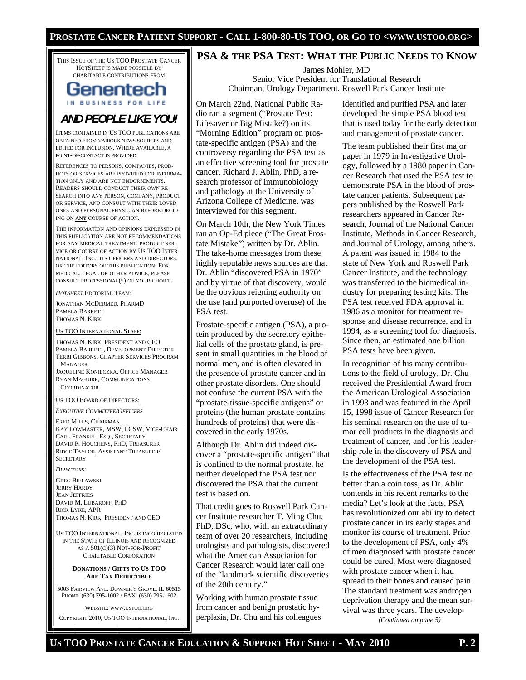THIS ISSUE OF THE US TOO PROSTATE CANCER HOTSHEET IS MADE POSSIBLE BY CHARITABLE CONTRIBUTIONS FROM

# Genentech IN BUSINESS FOR LIFE

*AND PEOPLE LIKE YOU!* 

ITEMS CONTAINED IN US TOO PUBLICATIONS ARE OBTAINED FROM VARIOUS NEWS SOURCES AND EDITED FOR INCLUSION. WHERE AVAILABLE, A POINT-OF-CONTACT IS PROVIDED.

REFERENCES TO PERSONS, COMPANIES, PROD-UCTS OR SERVICES ARE PROVIDED FOR INFORMA-TION ONLY AND ARE NOT ENDORSEMENTS. READERS SHOULD CONDUCT THEIR OWN RE-SEARCH INTO ANY PERSON, COMPANY, PRODUCT OR SERVICE, AND CONSULT WITH THEIR LOVED ONES AND PERSONAL PHYSICIAN BEFORE DECID-ING ON **ANY** COURSE OF ACTION.

THE INFORMATION AND OPINIONS EXPRESSED IN THIS PUBLICATION ARE NOT RECOMMENDATIONS FOR ANY MEDICAL TREATMENT, PRODUCT SER-VICE OR COURSE OF ACTION BY US TOO INTER-NATIONAL, INC., ITS OFFICERS AND DIRECTORS, OR THE EDITORS OF THIS PUBLICATION. FOR MEDICAL, LEGAL OR OTHER ADVICE, PLEASE CONSULT PROFESSIONAL(S) OF YOUR CHOICE.

*HOTSHEET* EDITORIAL TEAM:

JONATHAN MCDERMED, PHARMD PAMELA BARRETT THOMAS N. KIRK

#### US TOO INTERNATIONAL STAFF:

THOMAS N. KIRK, PRESIDENT AND CEO PAMELA BARRETT, DEVELOPMENT DIRECTOR TERRI GIBBONS, CHAPTER SERVICES PROGRAM MANAGER JAQUELINE KONIECZKA, OFFICE MANAGER RYAN MAGUIRE, COMMUNICATIONS **COORDINATOR** 

#### US TOO BOARD OF DIRECTORS:

*EXECUTIVE COMMITTEE/OFFICERS*

FRED MILLS, CHAIRMAN KAY LOWMASTER, MSW, LCSW, VICE-CHAIR CARL FRANKEL, ESQ., SECRETARY DAVID P. HOUCHENS, PHD, TREASURER RIDGE TAYLOR, ASSISTANT TREASURER/ **SECRETARY** 

*DIRECTORS:* 

GREG BIELAWSKI JERRY HARDY JEAN JEFFRIES DAVID M. LUBAROFF, PHD RICK LYKE, APR THOMAS N. KIRK, PRESIDENT AND CEO

US TOO INTERNATIONAL, INC. IS INCORPORATED IN THE STATE OF ILLINOIS AND RECOGNIZED AS A 501(C)(3) NOT-FOR-PROFIT CHARITABLE CORPORATION

#### **DONATIONS / GIFTS TO US TOO ARE TAX DEDUCTIBLE**

5003 FAIRVIEW AVE. DOWNER'S GROVE, IL 60515 PHONE: (630) 795-1002 / FAX: (630) 795-1602

WEBSITE: WWW.USTOO.ORG

COPYRIGHT 2010, US TOO INTERNATIONAL, INC.

# **PSA & THE PSA TEST: WHAT THE PUBLIC NEEDS TO KNOW**

James Mohler, MD Senior Vice President for Translational Research Chairman, Urology Department, Roswell Park Cancer Institute

On March 22nd, National Public Radio ran a segment ("Prostate Test: Lifesaver or Big Mistake?) on its "Morning Edition" program on prostate-specific antigen (PSA) and the controversy regarding the PSA test as an effective screening tool for prostate cancer. Richard J. Ablin, PhD, a research professor of immunobiology and pathology at the University of Arizona College of Medicine, was interviewed for this segment.

On March 10th, the New York Times ran an Op-Ed piece ("The Great Prostate Mistake") written by Dr. Ablin. The take-home messages from these highly reputable news sources are that Dr. Ablin "discovered PSA in 1970" and by virtue of that discovery, would be the obvious reigning authority on the use (and purported overuse) of the PSA test.

Prostate-specific antigen (PSA), a protein produced by the secretory epithelial cells of the prostate gland, is present in small quantities in the blood of normal men, and is often elevated in the presence of prostate cancer and in other prostate disorders. One should not confuse the current PSA with the "prostate-tissue-specific antigens" or proteins (the human prostate contains hundreds of proteins) that were discovered in the early 1970s.

Although Dr. Ablin did indeed discover a "prostate-specific antigen" that is confined to the normal prostate, he neither developed the PSA test nor discovered the PSA that the current test is based on.

That credit goes to Roswell Park Cancer Institute researcher T. Ming Chu, PhD, DSc, who, with an extraordinary team of over 20 researchers, including urologists and pathologists, discovered what the American Association for Cancer Research would later call one of the "landmark scientific discoveries of the 20th century."

Working with human prostate tissue from cancer and benign prostatic hyperplasia, Dr. Chu and his colleagues identified and purified PSA and later developed the simple PSA blood test that is used today for the early detection and management of prostate cancer.

The team published their first major paper in 1979 in Investigative Urology, followed by a 1980 paper in Cancer Research that used the PSA test to demonstrate PSA in the blood of prostate cancer patients. Subsequent papers published by the Roswell Park researchers appeared in Cancer Research, Journal of the National Cancer Institute, Methods in Cancer Research, and Journal of Urology, among others. A patent was issued in 1984 to the state of New York and Roswell Park Cancer Institute, and the technology was transferred to the biomedical industry for preparing testing kits. The PSA test received FDA approval in 1986 as a monitor for treatment response and disease recurrence, and in 1994, as a screening tool for diagnosis. Since then, an estimated one billion PSA tests have been given.

In recognition of his many contributions to the field of urology, Dr. Chu received the Presidential Award from the American Urological Association in 1993 and was featured in the April 15, 1998 issue of Cancer Research for his seminal research on the use of tumor cell products in the diagnosis and treatment of cancer, and for his leadership role in the discovery of PSA and the development of the PSA test.

Is the effectiveness of the PSA test no better than a coin toss, as Dr. Ablin contends in his recent remarks to the media? Let's look at the facts. PSA has revolutionized our ability to detect prostate cancer in its early stages and monitor its course of treatment. Prior to the development of PSA, only 4% of men diagnosed with prostate cancer could be cured. Most were diagnosed with prostate cancer when it had spread to their bones and caused pain. The standard treatment was androgen deprivation therapy and the mean survival was three years. The develop-

*(Continued on page 5)*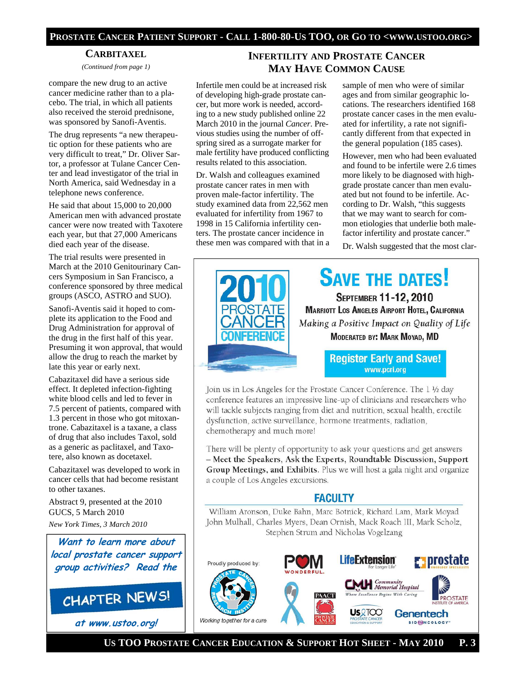#### **PROSTATE CANCER PATIENT SUPPORT - CALL 1-800-80-US TOO, OR GO TO <WWW.USTOO.ORG>**

#### **CARBITAXEL**

*(Continued from page 1)* 

compare the new drug to an active cancer medicine rather than to a placebo. The trial, in which all patients also received the steroid prednisone, was sponsored by Sanofi-Aventis.

The drug represents "a new therapeutic option for these patients who are very difficult to treat," Dr. Oliver Sartor, a professor at Tulane Cancer Center and lead investigator of the trial in North America, said Wednesday in a telephone news conference.

He said that about 15,000 to 20,000 American men with advanced prostate cancer were now treated with Taxotere each year, but that 27,000 Americans died each year of the disease.

The trial results were presented in March at the 2010 Genitourinary Cancers Symposium in San Francisco, a conference sponsored by three medical groups (ASCO, ASTRO and SUO).

Sanofi-Aventis said it hoped to complete its application to the Food and Drug Administration for approval of the drug in the first half of this year. Presuming it won approval, that would allow the drug to reach the market by late this year or early next.

Cabazitaxel did have a serious side effect. It depleted infection-fighting white blood cells and led to fever in 7.5 percent of patients, compared with 1.3 percent in those who got mitoxantrone. Cabazitaxel is a taxane, a class of drug that also includes Taxol, sold as a generic as paclitaxel, and Taxotere, also known as docetaxel.

Cabazitaxel was developed to work in cancer cells that had become resistant to other taxanes.

Abstract 9, presented at the 2010 GUCS, 5 March 2010

*New York Times, 3 March 2010* 

**Want to learn more about local prostate cancer support group activities? Read the**

# **CHAPTER NEWS!**

**at www.ustoo.org!**

# **INFERTILITY AND PROSTATE CANCER MAY HAVE COMMON CAUSE**

Infertile men could be at increased risk of developing high-grade prostate cancer, but more work is needed, according to a new study published online 22 March 2010 in the journal *Cancer*. Previous studies using the number of offspring sired as a surrogate marker for male fertility have produced conflicting results related to this association.

Dr. Walsh and colleagues examined prostate cancer rates in men with proven male-factor infertility. The study examined data from 22,562 men evaluated for infertility from 1967 to 1998 in 15 California infertility centers. The prostate cancer incidence in these men was compared with that in a

sample of men who were of similar ages and from similar geographic locations. The researchers identified 168 prostate cancer cases in the men evaluated for infertility, a rate not significantly different from that expected in the general population (185 cases).

However, men who had been evaluated and found to be infertile were 2.6 times more likely to be diagnosed with highgrade prostate cancer than men evaluated but not found to be infertile. According to Dr. Walsh, "this suggests that we may want to search for common etiologies that underlie both malefactor infertility and prostate cancer."

Dr. Walsh suggested that the most clar-



Join us in Los Angeles for the Prostate Cancer Conference. The 1 1/2 day conference features an impressive line-up of clinicians and researchers who will tackle subjects ranging from diet and nutrition, sexual health, erectile dysfunction, active surveillance, hormone treatments, radiation, chemotherapy and much more!

There will be plenty of opportunity to ask your questions and get answers - Meet the Speakers, Ask the Experts, Roundtable Discussion, Support Group Meetings, and Exhibits. Plus we will host a gala night and organize a couple of Los Angeles excursions.

# **FACULTY**

William Aronson, Duke Bahn, Marc Botnick, Richard Lam, Mark Moyad John Mulhall, Charles Myers, Dean Ornish, Mack Roach III, Mark Scholz, Stephen Strum and Nicholas Vogelzang



 **US TOO PROSTATE CANCER EDUCATION & SUPPORT HOT SHEET - MAY 2010 P. 3**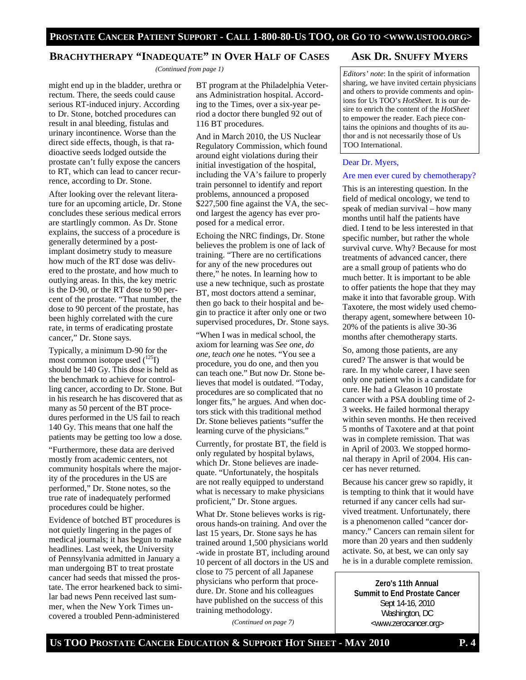# **BRACHYTHERAPY "INADEQUATE" IN OVER HALF OF CASES**

*(Continued from page 1)* 

might end up in the bladder, urethra or rectum. There, the seeds could cause serious RT-induced injury. According to Dr. Stone, botched procedures can result in anal bleeding, fistulas and urinary incontinence. Worse than the direct side effects, though, is that radioactive seeds lodged outside the prostate can't fully expose the cancers to RT, which can lead to cancer recurrence, according to Dr. Stone.

After looking over the relevant literature for an upcoming article, Dr. Stone concludes these serious medical errors are startlingly common. As Dr. Stone explains, the success of a procedure is generally determined by a postimplant dosimetry study to measure how much of the RT dose was delivered to the prostate, and how much to outlying areas. In this, the key metric is the D-90, or the RT dose to 90 percent of the prostate. "That number, the dose to 90 percent of the prostate, has been highly correlated with the cure rate, in terms of eradicating prostate cancer," Dr. Stone says.

Typically, a minimum D-90 for the most common isotope used  $(^{125}I)$ should be 140 Gy. This dose is held as the benchmark to achieve for controlling cancer, according to Dr. Stone. But in his research he has discovered that as many as 50 percent of the BT procedures performed in the US fail to reach 140 Gy. This means that one half the patients may be getting too low a dose.

"Furthermore, these data are derived mostly from academic centers, not community hospitals where the majority of the procedures in the US are performed," Dr. Stone notes, so the true rate of inadequately performed procedures could be higher.

Evidence of botched BT procedures is not quietly lingering in the pages of medical journals; it has begun to make headlines. Last week, the University of Pennsylvania admitted in January a man undergoing BT to treat prostate cancer had seeds that missed the prostate. The error hearkened back to similar bad news Penn received last summer, when the New York Times uncovered a troubled Penn-administered

BT program at the Philadelphia Veterans Administration hospital. According to the Times, over a six-year period a doctor there bungled 92 out of 116 BT procedures.

And in March 2010, the US Nuclear Regulatory Commission, which found around eight violations during their initial investigation of the hospital, including the VA's failure to properly train personnel to identify and report problems, announced a proposed \$227,500 fine against the VA, the second largest the agency has ever proposed for a medical error.

Echoing the NRC findings, Dr. Stone believes the problem is one of lack of training. "There are no certifications for any of the new procedures out there," he notes. In learning how to use a new technique, such as prostate BT, most doctors attend a seminar, then go back to their hospital and begin to practice it after only one or two supervised procedures, Dr. Stone says.

"When I was in medical school, the axiom for learning was *See one, do one, teach one* he notes. "You see a procedure, you do one, and then you can teach one." But now Dr. Stone believes that model is outdated. "Today, procedures are so complicated that no longer fits," he argues. And when doctors stick with this traditional method Dr. Stone believes patients "suffer the learning curve of the physicians."

Currently, for prostate BT, the field is only regulated by hospital bylaws, which Dr. Stone believes are inadequate. "Unfortunately, the hospitals are not really equipped to understand what is necessary to make physicians proficient," Dr. Stone argues.

What Dr. Stone believes works is rigorous hands-on training. And over the last 15 years, Dr. Stone says he has trained around 1,500 physicians world -wide in prostate BT, including around 10 percent of all doctors in the US and close to 75 percent of all Japanese physicians who perform that procedure. Dr. Stone and his colleagues have published on the success of this training methodology.

*(Continued on page 7)* 

# **ASK DR. SNUFFY MYERS**

*Editors' note*: In the spirit of information sharing, we have invited certain physicians and others to provide comments and opinions for Us TOO's *HotSheet.* It is our desire to enrich the content of the *HotSheet*  to empower the reader. Each piece contains the opinions and thoughts of its author and is not necessarily those of Us TOO International.

#### Dear Dr. Myers,

#### Are men ever cured by chemotherapy?

This is an interesting question. In the field of medical oncology, we tend to speak of median survival – how many months until half the patients have died. I tend to be less interested in that specific number, but rather the whole survival curve. Why? Because for most treatments of advanced cancer, there are a small group of patients who do much better. It is important to be able to offer patients the hope that they may make it into that favorable group. With Taxotere, the most widely used chemotherapy agent, somewhere between 10- 20% of the patients is alive 30-36 months after chemotherapy starts.

So, among those patients, are any cured? The answer is that would be rare. In my whole career, I have seen only one patient who is a candidate for cure. He had a Gleason 10 prostate cancer with a PSA doubling time of 2- 3 weeks. He failed hormonal therapy within seven months. He then received 5 months of Taxotere and at that point was in complete remission. That was in April of 2003. We stopped hormonal therapy in April of 2004. His cancer has never returned.

Because his cancer grew so rapidly, it is tempting to think that it would have returned if any cancer cells had survived treatment. Unfortunately, there is a phenomenon called "cancer dormancy." Cancers can remain silent for more than 20 years and then suddenly activate. So, at best, we can only say he is in a durable complete remission.

**Zero's 11th Annual Summit to End Prostate Cancer**  Sept 14-16, 2010 Washington, DC <www.zerocancer.org>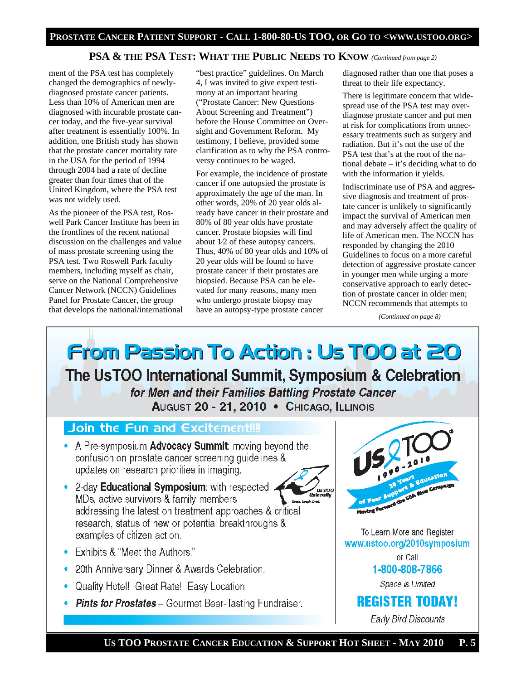# **PSA & THE PSA TEST: WHAT THE PUBLIC NEEDS TO KNOW** *(Continued from page 2)*

ment of the PSA test has completely changed the demographics of newlydiagnosed prostate cancer patients. Less than 10% of American men are diagnosed with incurable prostate cancer today, and the five-year survival after treatment is essentially 100%. In addition, one British study has shown that the prostate cancer mortality rate in the USA for the period of 1994 through 2004 had a rate of decline greater than four times that of the United Kingdom, where the PSA test was not widely used.

As the pioneer of the PSA test, Roswell Park Cancer Institute has been in the frontlines of the recent national discussion on the challenges and value of mass prostate screening using the PSA test. Two Roswell Park faculty members, including myself as chair, serve on the National Comprehensive Cancer Network (NCCN) Guidelines Panel for Prostate Cancer, the group that develops the national/international

"best practice" guidelines. On March 4, I was invited to give expert testimony at an important hearing ("Prostate Cancer: New Questions About Screening and Treatment") before the House Committee on Oversight and Government Reform. My testimony, I believe, provided some clarification as to why the PSA controversy continues to be waged.

For example, the incidence of prostate cancer if one autopsied the prostate is approximately the age of the man. In other words, 20% of 20 year olds already have cancer in their prostate and 80% of 80 year olds have prostate cancer. Prostate biopsies will find about 1⁄2 of these autopsy cancers. Thus, 40% of 80 year olds and 10% of 20 year olds will be found to have prostate cancer if their prostates are biopsied. Because PSA can be elevated for many reasons, many men who undergo prostate biopsy may have an autopsy-type prostate cancer

diagnosed rather than one that poses a threat to their life expectancy.

There is legitimate concern that widespread use of the PSA test may overdiagnose prostate cancer and put men at risk for complications from unnecessary treatments such as surgery and radiation. But it's not the use of the PSA test that's at the root of the national debate – it's deciding what to do with the information it yields.

Indiscriminate use of PSA and aggressive diagnosis and treatment of prostate cancer is unlikely to significantly impact the survival of American men and may adversely affect the quality of life of American men. The NCCN has responded by changing the 2010 Guidelines to focus on a more careful detection of aggressive prostate cancer in younger men while urging a more conservative approach to early detection of prostate cancer in older men; NCCN recommends that attempts to

*(Continued on page 8)* 

**From Passion To Action : Us TOO at 20** The UsTOO International Summit, Symposium & Celebration for Men and their Families Battling Prostate Cancer AUGUST 20 - 21, 2010 • CHICAGO, ILLINOIS

# Join the Fun and Excitement!!!

- A Pre-symposium **Advocacy Summit:** moving beyond the confusion on prostate cancer screening guidelines & updates on research priorities in imaging.
- 2-day Educational Symposium: with respected MDs, active survivors & family members addressing the latest on treatment approaches & critical research, status of new or potential breakthroughs & examples of citizen action.
- Exhibits & "Meet the Authors."
- 20th Anniversary Dinner & Awards Celebration.
- Quality Hotel! Great Rate! Easy Location!
- Pints for Prostates Gourmet Beer-Tasting Fundraiser.



To Learn More and Register www.ustoo.org/2010symposium

or Call 1-800-808-7866

Space is Limited

# **REGISTER TODAY!**

Early Bird Discounts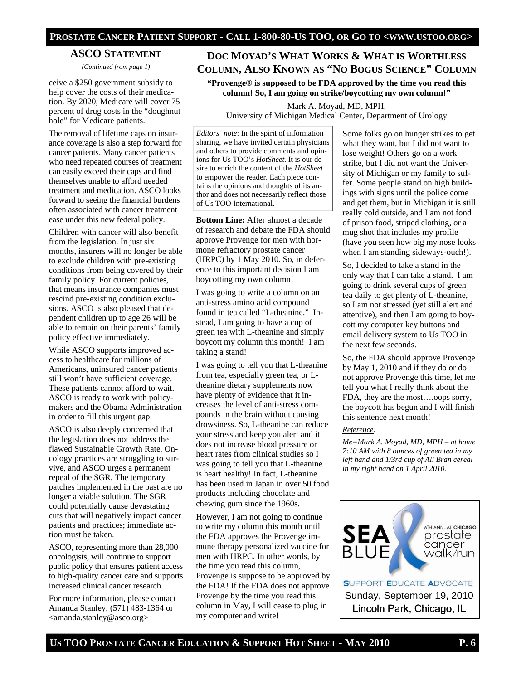### **ASCO STATEMENT**

*(Continued from page 1)* 

ceive a \$250 government subsidy to help cover the costs of their medication. By 2020, Medicare will cover 75 percent of drug costs in the "doughnut hole" for Medicare patients.

The removal of lifetime caps on insurance coverage is also a step forward for cancer patients. Many cancer patients who need repeated courses of treatment can easily exceed their caps and find themselves unable to afford needed treatment and medication. ASCO looks forward to seeing the financial burdens often associated with cancer treatment ease under this new federal policy.

Children with cancer will also benefit from the legislation. In just six months, insurers will no longer be able to exclude children with pre-existing conditions from being covered by their family policy. For current policies, that means insurance companies must rescind pre-existing condition exclusions. ASCO is also pleased that dependent children up to age 26 will be able to remain on their parents' family policy effective immediately.

While ASCO supports improved access to healthcare for millions of Americans, uninsured cancer patients still won't have sufficient coverage. These patients cannot afford to wait. ASCO is ready to work with policymakers and the Obama Administration in order to fill this urgent gap.

ASCO is also deeply concerned that the legislation does not address the flawed Sustainable Growth Rate. Oncology practices are struggling to survive, and ASCO urges a permanent repeal of the SGR. The temporary patches implemented in the past are no longer a viable solution. The SGR could potentially cause devastating cuts that will negatively impact cancer patients and practices; immediate action must be taken.

ASCO, representing more than 28,000 oncologists, will continue to support public policy that ensures patient access to high-quality cancer care and supports increased clinical cancer research.

For more information, please contact Amanda Stanley, (571) 483-1364 or <amanda.stanley@asco.org>

# **DOC MOYAD'S WHAT WORKS & WHAT IS WORTHLESS COLUMN, ALSO KNOWN AS "NO BOGUS SCIENCE" COLUMN**

**"Provenge® is supposed to be FDA approved by the time you read this column! So, I am going on strike/boycotting my own column!"** 

Mark A. Moyad, MD, MPH, University of Michigan Medical Center, Department of Urology

*Editors' note*: In the spirit of information sharing, we have invited certain physicians and others to provide comments and opinions for Us TOO's *HotSheet.* It is our desire to enrich the content of the *HotSheet*  to empower the reader. Each piece contains the opinions and thoughts of its author and does not necessarily reflect those of Us TOO International.

**Bottom Line:** After almost a decade of research and debate the FDA should approve Provenge for men with hormone refractory prostate cancer (HRPC) by 1 May 2010. So, in deference to this important decision I am boycotting my own column!

I was going to write a column on an anti-stress amino acid compound found in tea called "L-theanine." Instead, I am going to have a cup of green tea with L-theanine and simply boycott my column this month! I am taking a stand!

I was going to tell you that L-theanine from tea, especially green tea, or Ltheanine dietary supplements now have plenty of evidence that it increases the level of anti-stress compounds in the brain without causing drowsiness. So, L-theanine can reduce your stress and keep you alert and it does not increase blood pressure or heart rates from clinical studies so I was going to tell you that L-theanine is heart healthy! In fact, L-theanine has been used in Japan in over 50 food products including chocolate and chewing gum since the 1960s.

However, I am not going to continue to write my column this month until the FDA approves the Provenge immune therapy personalized vaccine for men with HRPC. In other words, by the time you read this column, Provenge is suppose to be approved by the FDA! If the FDA does not approve Provenge by the time you read this column in May, I will cease to plug in my computer and write!

Some folks go on hunger strikes to get what they want, but I did not want to lose weight! Others go on a work strike, but I did not want the University of Michigan or my family to suffer. Some people stand on high buildings with signs until the police come and get them, but in Michigan it is still really cold outside, and I am not fond of prison food, striped clothing, or a mug shot that includes my profile (have you seen how big my nose looks when I am standing sideways-ouch!).

So, I decided to take a stand in the only way that I can take a stand. I am going to drink several cups of green tea daily to get plenty of L-theanine, so I am not stressed (yet still alert and attentive), and then I am going to boycott my computer key buttons and email delivery system to Us TOO in the next few seconds.

So, the FDA should approve Provenge by May 1, 2010 and if they do or do not approve Provenge this time, let me tell you what I really think about the FDA, they are the most….oops sorry, the boycott has begun and I will finish this sentence next month!

#### *Reference:*

*Me=Mark A. Moyad, MD, MPH – at home 7:10 AM with 8 ounces of green tea in my left hand and 1/3rd cup of All Bran cereal in my right hand on 1 April 2010.* 

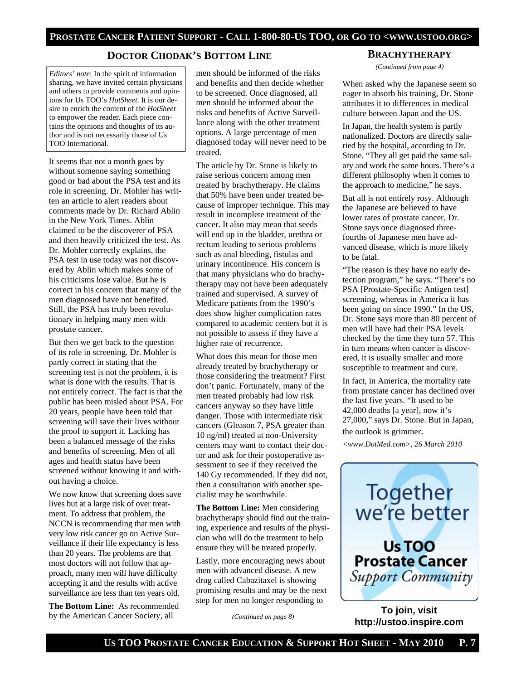# **DOCTOR CHODAK'S BOTTOM LINE**

*Editors' note*: In the spirit of information sharing, we have invited certain physicians and others to provide comments and opinions for Us TOO's *HotSheet.* It is our desire to enrich the content of the *HotSheet*  to empower the reader. Each piece contains the opinions and thoughts of its author and is not necessarily those of Us TOO International.

It seems that not a month goes by without someone saying something good or bad about the PSA test and its role in screening. Dr. Mohler has written an article to alert readers about comments made by Dr. Richard Ablin in the New York Times. Ablin claimed to be the discoverer of PSA and then heavily criticized the test. As Dr. Mohler correctly explains, the PSA test in use today was not discovered by Ablin which makes some of his criticisms lose value. But he is correct in his concern that many of the men diagnosed have not benefited. Still, the PSA has truly been revolutionary in helping many men with prostate cancer.

But then we get back to the question of its role in screening. Dr. Mohler is partly correct in stating that the screening test is not the problem, it is what is done with the results. That is not entirely correct. The fact is that the public has been misled about PSA. For 20 years, people have been told that screening will save their lives without the proof to support it. Lacking has been a balanced message of the risks and benefits of screening. Men of all ages and health status have been screened without knowing it and without having a choice.

We now know that screening does save lives but at a large risk of over treatment. To address that problem, the NCCN is recommending that men with very low risk cancer go on Active Surveillance if their life expectancy is less than 20 years. The problems are that most doctors will not follow that approach, many men will have difficulty accepting it and the results with active surveillance are less than ten years old.

**The Bottom Line:** As recommended by the American Cancer Society, all

men should be informed of the risks and benefits and then decide whether to be screened. Once diagnosed, all men should be informed about the risks and benefits of Active Surveillance along with the other treatment options. A large percentage of men diagnosed today will never need to be treated.

The article by Dr. Stone is likely to raise serious concern among men treated by brachytherapy. He claims that 50% have been under treated because of improper technique. This may result in incomplete treatment of the cancer. It also may mean that seeds will end up in the bladder, urethra or rectum leading to serious problems such as anal bleeding, fistulas and urinary incontinence. His concern is that many physicians who do brachytherapy may not have been adequately trained and supervised. A survey of Medicare patients from the 1990's does show higher complication rates compared to academic centers but it is not possible to assess if they have a higher rate of recurrence.

What does this mean for those men already treated by brachytherapy or those considering the treatment? First don't panic. Fortunately, many of the men treated probably had low risk cancers anyway so they have little danger. Those with intermediate risk cancers (Gleason 7, PSA greater than 10 ng/ml) treated at non-University centers may want to contact their doctor and ask for their postoperative assessment to see if they received the 140 Gy recommended. If they did not, then a consultation with another specialist may be worthwhile.

**The Bottom Line:** Men considering brachytherapy should find out the training, experience and results of the physician who will do the treatment to help ensure they will be treated properly.

Lastly, more encouraging news about men with advanced disease. A new drug called Cabazitaxel is showing promising results and may be the next step for men no longer responding to

*(Continued on page 8)* 

#### **BRACHYTHERAPY**

*(Continued from page 4)* 

When asked why the Japanese seem so eager to absorb his training, Dr. Stone attributes it to differences in medical culture between Japan and the US.

In Japan, the health system is partly nationalized. Doctors are directly salaried by the hospital, according to Dr. Stone. "They all get paid the same salary and work the same hours. There's a different philosophy when it comes to the approach to medicine," he says.

But all is not entirely rosy. Although the Japanese are believed to have lower rates of prostate cancer, Dr. Stone says once diagnosed threefourths of Japanese men have advanced disease, which is more likely to be fatal.

"The reason is they have no early detection program," he says. "There's no PSA [Prostate-Specific Antigen test] screening, whereas in America it has been going on since 1990." In the US, Dr. Stone says more than 80 percent of men will have had their PSA levels checked by the time they turn 57. This in turn means when cancer is discovered, it is usually smaller and more susceptible to treatment and cure.

In fact, in America, the mortality rate from prostate cancer has declined over the last five years. "It used to be 42,000 deaths [a year], now it's 27,000," says Dr. Stone. But in Japan, the outlook is grimmer.

*<www.DotMed.com>, 26 March 2010* 



**To join, visit http://ustoo.inspire.com**